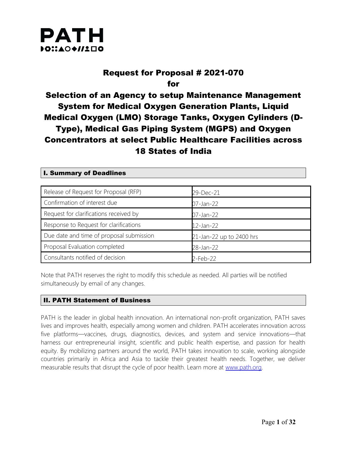

I. Summary of Deadlines

### Request for Proposal # 2021-070 for

Selection of an Agency to setup Maintenance Management System for Medical Oxygen Generation Plants, Liquid Medical Oxygen (LMO) Storage Tanks, Oxygen Cylinders (D-Type), Medical Gas Piping System (MGPS) and Oxygen Concentrators at select Public Healthcare Facilities across 18 States of India

| Release of Request for Proposal (RFP)    | 29-Dec-21                |
|------------------------------------------|--------------------------|
| Confirmation of interest due             | 07-Jan-22                |
| Request for clarifications received by   | 07-Jan-22                |
| Response to Request for clarifications   | $12$ -Jan-22             |
| Due date and time of proposal submission | 21-Jan-22 up to 2400 hrs |
| Proposal Evaluation completed            | 28-Jan-22                |
| Consultants notified of decision         | 2-Feb-22                 |

Note that PATH reserves the right to modify this schedule as needed. All parties will be notified simultaneously by email of any changes.

### II. PATH Statement of Business

PATH is the leader in global health innovation. An international non-profit organization, PATH saves lives and improves health, especially among women and children. PATH accelerates innovation across five platforms—vaccines, drugs, diagnostics, devices, and system and service innovations—that harness our entrepreneurial insight, scientific and public health expertise, and passion for health equity. By mobilizing partners around the world, PATH takes innovation to scale, working alongside countries primarily in Africa and Asia to tackle their greatest health needs. Together, we deliver measurable results that disrupt the cycle of poor health. Learn more at [www.path.org.](http://www.path.org/)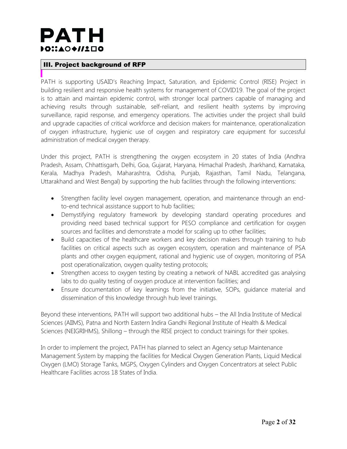## PATH DOI:AO+//1ロ0

### III. Project background of RFP

PATH is supporting USAID's Reaching Impact, Saturation, and Epidemic Control (RISE) Project in building resilient and responsive health systems for management of COVID19. The goal of the project is to attain and maintain epidemic control, with stronger local partners capable of managing and achieving results through sustainable, self-reliant, and resilient health systems by improving surveillance, rapid response, and emergency operations. The activities under the project shall build and upgrade capacities of critical workforce and decision makers for maintenance, operationalization of oxygen infrastructure, hygienic use of oxygen and respiratory care equipment for successful administration of medical oxygen therapy.

Under this project, PATH is strengthening the oxygen ecosystem in 20 states of India (Andhra Pradesh, Assam, Chhattisgarh, Delhi, Goa, Gujarat, Haryana, Himachal Pradesh, Jharkhand, Karnataka, Kerala, Madhya Pradesh, Maharashtra, Odisha, Punjab, Rajasthan, Tamil Nadu, Telangana, Uttarakhand and West Bengal) by supporting the hub facilities through the following interventions:

- Strengthen facility level oxygen management, operation, and maintenance through an endto-end technical assistance support to hub facilities;
- Demystifying regulatory framework by developing standard operating procedures and providing need based technical support for PESO compliance and certification for oxygen sources and facilities and demonstrate a model for scaling up to other facilities;
- Build capacities of the healthcare workers and key decision makers through training to hub facilities on critical aspects such as oxygen ecosystem, operation and maintenance of PSA plants and other oxygen equipment, rational and hygienic use of oxygen, monitoring of PSA post operationalization, oxygen quality testing protocols;
- Strengthen access to oxygen testing by creating a network of NABL accredited gas analysing labs to do quality testing of oxygen produce at intervention facilities; and
- Ensure documentation of key learnings from the initiative, SOPs, guidance material and dissemination of this knowledge through hub level trainings.

Beyond these interventions, PATH will support two additional hubs – the All India Institute of Medical Sciences (AIIMS), Patna and North Eastern Indira Gandhi Regional Institute of Health & Medical Sciences (NEIGRIHMS), Shillong – through the RISE project to conduct trainings for their spokes.

In order to implement the project, PATH has planned to select an Agency setup Maintenance Management System by mapping the facilities for Medical Oxygen Generation Plants, Liquid Medical Oxygen (LMO) Storage Tanks, MGPS, Oxygen Cylinders and Oxygen Concentrators at select Public Healthcare Facilities across 18 States of India.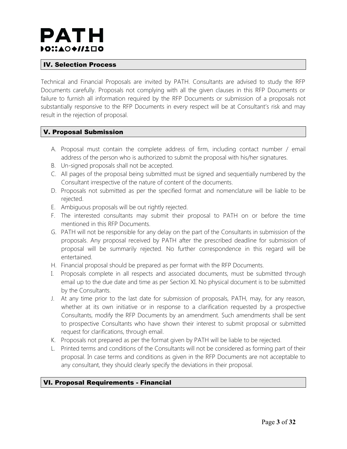## PATH DOI:AO+//1ロ0

### IV. Selection Process

Technical and Financial Proposals are invited by PATH. Consultants are advised to study the RFP Documents carefully. Proposals not complying with all the given clauses in this RFP Documents or failure to furnish all information required by the RFP Documents or submission of a proposals not substantially responsive to the RFP Documents in every respect will be at Consultant's risk and may result in the rejection of proposal.

### V. Proposal Submission

- A. Proposal must contain the complete address of firm, including contact number / email address of the person who is authorized to submit the proposal with his/her signatures.
- B. Un-signed proposals shall not be accepted.
- C. All pages of the proposal being submitted must be signed and sequentially numbered by the Consultant irrespective of the nature of content of the documents.
- D. Proposals not submitted as per the specified format and nomenclature will be liable to be rejected.
- E. Ambiguous proposals will be out rightly rejected.
- F. The interested consultants may submit their proposal to PATH on or before the time mentioned in this RFP Documents.
- G. PATH will not be responsible for any delay on the part of the Consultants in submission of the proposals. Any proposal received by PATH after the prescribed deadline for submission of proposal will be summarily rejected. No further correspondence in this regard will be entertained.
- H. Financial proposal should be prepared as per format with the RFP Documents.
- I. Proposals complete in all respects and associated documents, must be submitted through email up to the due date and time as per Section XI. No physical document is to be submitted by the Consultants.
- J. At any time prior to the last date for submission of proposals, PATH, may, for any reason, whether at its own initiative or in response to a clarification requested by a prospective Consultants, modify the RFP Documents by an amendment. Such amendments shall be sent to prospective Consultants who have shown their interest to submit proposal or submitted request for clarifications, through email.
- K. Proposals not prepared as per the format given by PATH will be liable to be rejected.
- L. Printed terms and conditions of the Consultants will not be considered as forming part of their proposal. In case terms and conditions as given in the RFP Documents are not acceptable to any consultant, they should clearly specify the deviations in their proposal.

### VI. Proposal Requirements - Financial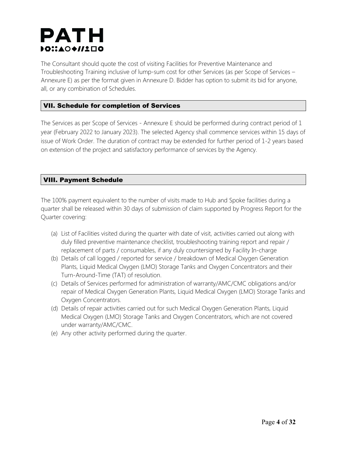## PATH DOI:AO◆//1口O

The Consultant should quote the cost of visiting Facilities for Preventive Maintenance and Troubleshooting Training inclusive of lump-sum cost for other Services (as per Scope of Services – Annexure E) as per the format given in Annexure D. Bidder has option to submit its bid for anyone, all, or any combination of Schedules.

### VII. Schedule for completion of Services

The Services as per Scope of Services - Annexure E should be performed during contract period of 1 year (February 2022 to January 2023). The selected Agency shall commence services within 15 days of issue of Work Order. The duration of contract may be extended for further period of 1-2 years based on extension of the project and satisfactory performance of services by the Agency.

### VIII. Payment Schedule

The 100% payment equivalent to the number of visits made to Hub and Spoke facilities during a quarter shall be released within 30 days of submission of claim supported by Progress Report for the Quarter covering:

- (a) List of Facilities visited during the quarter with date of visit, activities carried out along with duly filled preventive maintenance checklist, troubleshooting training report and repair / replacement of parts / consumables, if any duly countersigned by Facility In-charge
- (b) Details of call logged / reported for service / breakdown of Medical Oxygen Generation Plants, Liquid Medical Oxygen (LMO) Storage Tanks and Oxygen Concentrators and their Turn-Around-Time (TAT) of resolution.
- (c) Details of Services performed for administration of warranty/AMC/CMC obligations and/or repair of Medical Oxygen Generation Plants, Liquid Medical Oxygen (LMO) Storage Tanks and Oxygen Concentrators.
- (d) Details of repair activities carried out for such Medical Oxygen Generation Plants, Liquid Medical Oxygen (LMO) Storage Tanks and Oxygen Concentrators, which are not covered under warranty/AMC/CMC.
- (e) Any other activity performed during the quarter.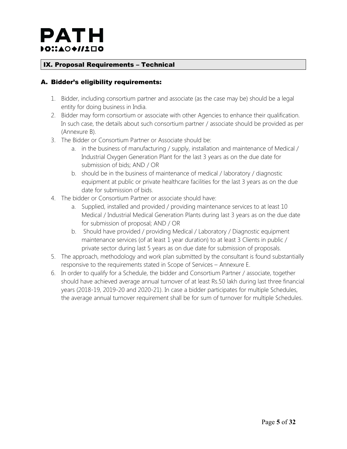### IX. Proposal Requirements – Technical

### A. Bidder's eligibility requirements:

- 1. Bidder, including consortium partner and associate (as the case may be) should be a legal entity for doing business in India.
- 2. Bidder may form consortium or associate with other Agencies to enhance their qualification. In such case, the details about such consortium partner / associate should be provided as per (Annexure B).
- 3. The Bidder or Consortium Partner or Associate should be:
	- a. in the business of manufacturing / supply, installation and maintenance of Medical / Industrial Oxygen Generation Plant for the last 3 years as on the due date for submission of bids; AND / OR
	- b. should be in the business of maintenance of medical / laboratory / diagnostic equipment at public or private healthcare facilities for the last 3 years as on the due date for submission of bids.
- 4. The bidder or Consortium Partner or associate should have:
	- a. Supplied, installed and provided / providing maintenance services to at least 10 Medical / Industrial Medical Generation Plants during last 3 years as on the due date for submission of proposal; AND / OR
	- b. Should have provided / providing Medical / Laboratory / Diagnostic equipment maintenance services (of at least 1 year duration) to at least 3 Clients in public / private sector during last 5 years as on due date for submission of proposals.
- 5. The approach, methodology and work plan submitted by the consultant is found substantially responsive to the requirements stated in Scope of Services – Annexure E.
- 6. In order to qualify for a Schedule, the bidder and Consortium Partner / associate, together should have achieved average annual turnover of at least Rs.50 lakh during last three financial years (2018-19, 2019-20 and 2020-21). In case a bidder participates for multiple Schedules, the average annual turnover requirement shall be for sum of turnover for multiple Schedules.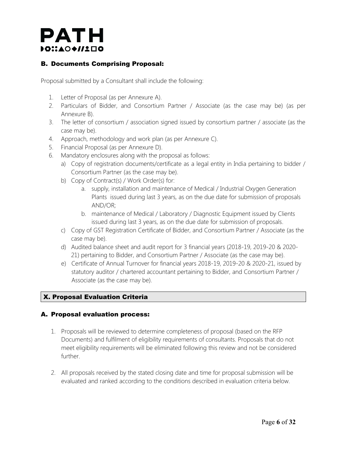### PATH DOI:AO+//1ロ0

### B. Documents Comprising Proposal:

Proposal submitted by a Consultant shall include the following:

- 1. Letter of Proposal (as per Annexure A).
- 2. Particulars of Bidder, and Consortium Partner / Associate (as the case may be) (as per Annexure B).
- 3. The letter of consortium / association signed issued by consortium partner / associate (as the case may be).
- 4. Approach, methodology and work plan (as per Annexure C).
- 5. Financial Proposal (as per Annexure D).
- 6. Mandatory enclosures along with the proposal as follows:
	- a) Copy of registration documents/certificate as a legal entity in India pertaining to bidder / Consortium Partner (as the case may be).
	- b) Copy of Contract(s) / Work Order(s) for:
		- a. supply, installation and maintenance of Medical / Industrial Oxygen Generation Plants issued during last 3 years, as on the due date for submission of proposals AND/OR;
		- b. maintenance of Medical / Laboratory / Diagnostic Equipment issued by Clients issued during last 3 years, as on the due date for submission of proposals.
	- c) Copy of GST Registration Certificate of Bidder, and Consortium Partner / Associate (as the case may be).
	- d) Audited balance sheet and audit report for 3 financial years (2018-19, 2019-20 & 2020- 21) pertaining to Bidder, and Consortium Partner / Associate (as the case may be).
	- e) Certificate of Annual Turnover for financial years 2018-19, 2019-20 & 2020-21, issued by statutory auditor / chartered accountant pertaining to Bidder, and Consortium Partner / Associate (as the case may be).

### X. Proposal Evaluation Criteria

### A. Proposal evaluation process:

- 1. Proposals will be reviewed to determine completeness of proposal (based on the RFP Documents) and fulfilment of eligibility requirements of consultants. Proposals that do not meet eligibility requirements will be eliminated following this review and not be considered further.
- 2. All proposals received by the stated closing date and time for proposal submission will be evaluated and ranked according to the conditions described in evaluation criteria below.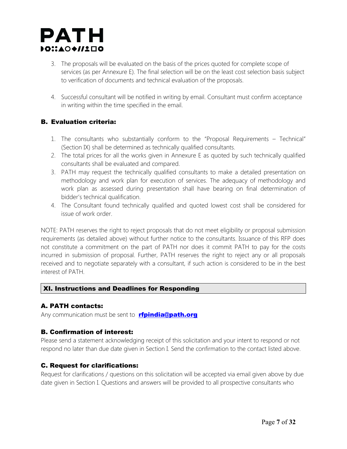

- 3. The proposals will be evaluated on the basis of the prices quoted for complete scope of services (as per Annexure E). The final selection will be on the least cost selection basis subject to verification of documents and technical evaluation of the proposals.
- 4. Successful consultant will be notified in writing by email. Consultant must confirm acceptance in writing within the time specified in the email.

### B. Evaluation criteria:

- 1. The consultants who substantially conform to the "Proposal Requirements Technical" (Section IX) shall be determined as technically qualified consultants.
- 2. The total prices for all the works given in Annexure E as quoted by such technically qualified consultants shall be evaluated and compared.
- 3. PATH may request the technically qualified consultants to make a detailed presentation on methodology and work plan for execution of services. The adequacy of methodology and work plan as assessed during presentation shall have bearing on final determination of bidder's technical qualification.
- 4. The Consultant found technically qualified and quoted lowest cost shall be considered for issue of work order.

NOTE: PATH reserves the right to reject proposals that do not meet eligibility or proposal submission requirements (as detailed above) without further notice to the consultants. Issuance of this RFP does not constitute a commitment on the part of PATH nor does it commit PATH to pay for the costs incurred in submission of proposal. Further, PATH reserves the right to reject any or all proposals received and to negotiate separately with a consultant, if such action is considered to be in the best interest of PATH.

### XI. Instructions and Deadlines for Responding

### A. PATH contacts:

Any communication must be sent to **ripindia@path.org** 

### B. Confirmation of interest:

Please send a statement acknowledging receipt of this solicitation and your intent to respond or not respond no later than due date given in Section I. Send the confirmation to the contact listed above.

### C. Request for clarifications:

Request for clarifications / questions on this solicitation will be accepted via email given above by due date given in Section I. Questions and answers will be provided to all prospective consultants who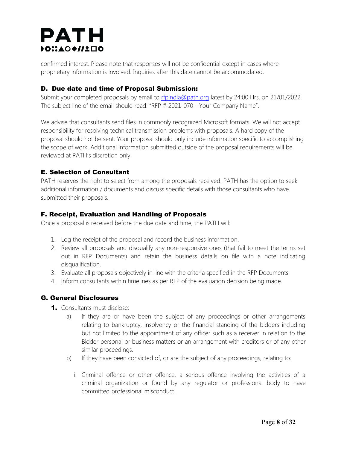## **PATH** DOI:AO+//1ロ0

confirmed interest. Please note that responses will not be confidential except in cases where proprietary information is involved. Inquiries after this date cannot be accommodated.

### D. Due date and time of Proposal Submission:

Submit your completed proposals by email to [rfpindia@path.org](mailto:rfpindia@path.org) latest by 24:00 Hrs. on 21/01/2022. The subject line of the email should read: "RFP # 2021-070 - Your Company Name".

We advise that consultants send files in commonly recognized Microsoft formats. We will not accept responsibility for resolving technical transmission problems with proposals. A hard copy of the proposal should not be sent. Your proposal should only include information specific to accomplishing the scope of work. Additional information submitted outside of the proposal requirements will be reviewed at PATH's discretion only.

### E. Selection of Consultant

PATH reserves the right to select from among the proposals received. PATH has the option to seek additional information / documents and discuss specific details with those consultants who have submitted their proposals.

### F. Receipt, Evaluation and Handling of Proposals

Once a proposal is received before the due date and time, the PATH will:

- 1. Log the receipt of the proposal and record the business information.
- 2. Review all proposals and disqualify any non-responsive ones (that fail to meet the terms set out in RFP Documents) and retain the business details on file with a note indicating disqualification.
- 3. Evaluate all proposals objectively in line with the criteria specified in the RFP Documents
- 4. Inform consultants within timelines as per RFP of the evaluation decision being made.

### G. General Disclosures

- 1. Consultants must disclose:
	- a) If they are or have been the subject of any proceedings or other arrangements relating to bankruptcy, insolvency or the financial standing of the bidders including but not limited to the appointment of any officer such as a receiver in relation to the Bidder personal or business matters or an arrangement with creditors or of any other similar proceedings.
	- b) If they have been convicted of, or are the subject of any proceedings, relating to:
		- i. Criminal offence or other offence, a serious offence involving the activities of a criminal organization or found by any regulator or professional body to have committed professional misconduct.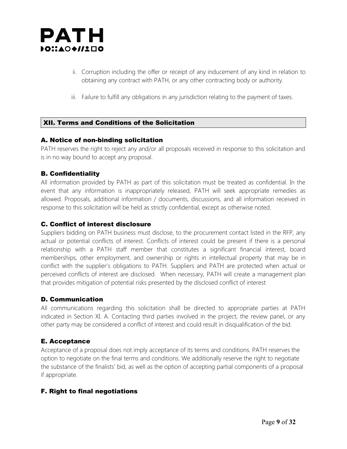

- ii. Corruption including the offer or receipt of any inducement of any kind in relation to obtaining any contract with PATH, or any other contracting body or authority.
- iii. Failure to fulfill any obligations in any jurisdiction relating to the payment of taxes.

### XII. Terms and Conditions of the Solicitation

#### A. Notice of non-binding solicitation

PATH reserves the right to reject any and/or all proposals received in response to this solicitation and is in no way bound to accept any proposal.

### B. Confidentiality

All information provided by PATH as part of this solicitation must be treated as confidential. In the event that any information is inappropriately released, PATH will seek appropriate remedies as allowed. Proposals, additional information / documents, discussions, and all information received in response to this solicitation will be held as strictly confidential, except as otherwise noted.

### C. Conflict of interest disclosure

Suppliers bidding on PATH business must disclose, to the procurement contact listed in the RFP, any actual or potential conflicts of interest. Conflicts of interest could be present if there is a personal relationship with a PATH staff member that constitutes a significant financial interest, board memberships, other employment, and ownership or rights in intellectual property that may be in conflict with the supplier's obligations to PATH. Suppliers and PATH are protected when actual or perceived conflicts of interest are disclosed. When necessary, PATH will create a management plan that provides mitigation of potential risks presented by the disclosed conflict of interest

### D. Communication

All communications regarding this solicitation shall be directed to appropriate parties at PATH indicated in Section XI. A. Contacting third parties involved in the project, the review panel, or any other party may be considered a conflict of interest and could result in disqualification of the bid.

### E. Acceptance

Acceptance of a proposal does not imply acceptance of its terms and conditions. PATH reserves the option to negotiate on the final terms and conditions. We additionally reserve the right to negotiate the substance of the finalists' bid, as well as the option of accepting partial components of a proposal if appropriate.

### F. Right to final negotiations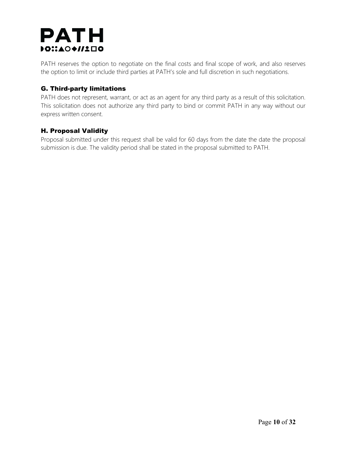## **PATH**  $\bullet$ C $::\bullet$ O $\bullet$ //1 $\square$ o

PATH reserves the option to negotiate on the final costs and final scope of work, and also reserves the option to limit or include third parties at PATH's sole and full discretion in such negotiations.

### G. Third-party limitations

PATH does not represent, warrant, or act as an agent for any third party as a result of this solicitation. This solicitation does not authorize any third party to bind or commit PATH in any way without our express written consent.

### H. Proposal Validity

Proposal submitted under this request shall be valid for 60 days from the date the date the proposal submission is due. The validity period shall be stated in the proposal submitted to PATH.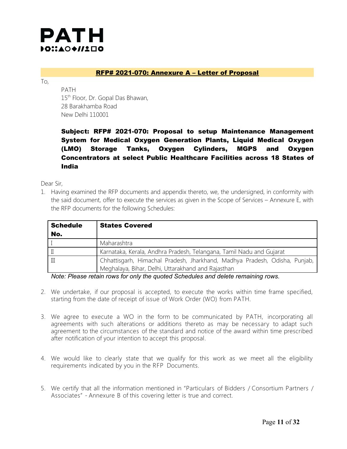

#### RFP# 2021-070: Annexure A – Letter of Proposal

To,

PATH 15<sup>th</sup> Floor, Dr. Gopal Das Bhawan, 28 Barakhamba Road New Delhi 110001

Subject: RFP# 2021-070: Proposal to setup Maintenance Management System for Medical Oxygen Generation Plants, Liquid Medical Oxygen (LMO) Storage Tanks, Oxygen Cylinders, MGPS and Oxygen Concentrators at select Public Healthcare Facilities across 18 States of India

Dear Sir,

1. Having examined the RFP documents and appendix thereto, we, the undersigned, in conformity with the said document, offer to execute the services as given in the Scope of Services – Annexure E, with the RFP documents for the following Schedules:

| <b>Schedule</b> | <b>States Covered</b>                                                      |
|-----------------|----------------------------------------------------------------------------|
| No.             |                                                                            |
|                 | Maharashtra                                                                |
|                 | Karnataka, Kerala, Andhra Pradesh, Telangana, Tamil Nadu and Gujarat       |
|                 | Chhattisgarh, Himachal Pradesh, Jharkhand, Madhya Pradesh, Odisha, Punjab, |
|                 | Meghalaya, Bihar, Delhi, Uttarakhand and Rajasthan                         |

*Note: Please retain rows for only the quoted Schedules and delete remaining rows.*

- 2. We undertake, if our proposal is accepted, to execute the works within time frame specified, starting from the date of receipt of issue of Work Order (WO) from PATH.
- 3. We agree to execute a WO in the form to be communicated by PATH, incorporating all agreements with such alterations or additions thereto as may be necessary to adapt such agreement to the circumstances of the standard and notice of the award within time prescribed after notification of your intention to accept this proposal.
- 4. We would like to clearly state that we qualify for this work as we meet all the eligibility requirements indicated by you in the RFP Documents.
- 5. We certify that all the information mentioned in "Particulars of Bidders / Consortium Partners / Associates" - Annexure B of this covering letter is true and correct.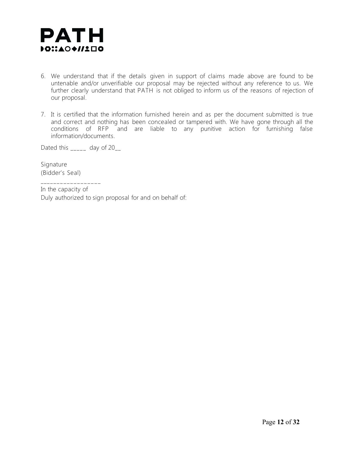

- 6. We understand that if the details given in support of claims made above are found to be untenable and/or unverifiable our proposal may be rejected without any reference to us. We further clearly understand that PATH is not obliged to inform us of the reasons of rejection of our proposal.
- 7. It is certified that the information furnished herein and as per the document submitted is true and correct and nothing has been concealed or tampered with. We have gone through all the conditions of RFP and are liable to any punitive action for furnishing false information/documents.

Dated this \_\_\_\_\_ day of 20\_\_

Signature (Bidder's Seal)

\_\_\_\_\_\_\_\_\_\_\_\_\_\_\_\_ In the capacity of

Duly authorized to sign proposal for and on behalf of: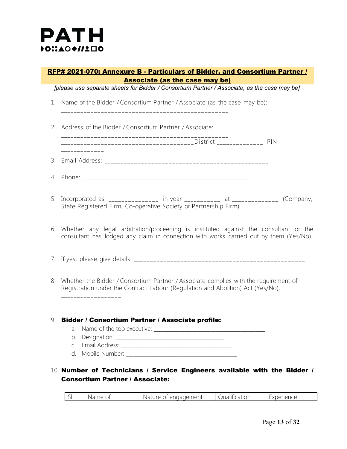

### RFP# 2021-070: Annexure B - Particulars of Bidder, and Consortium Partner / Associate (as the case may be)

*[please use separate sheets for Bidder / Consortium Partner / Associate, as the case may be]*

1. Name of the Bidder / Consortium Partner / Associate (as the case may be):

\_\_\_\_\_\_\_\_\_\_ \_\_ \_ \_ \_ \_ \_ \_ \_ \_ \_ \_ \_ \_ \_ \_ \_ \_ \_ \_ \_ \_ \_ \_ \_ \_ \_ \_ \_ \_ \_ \_ \_ \_ \_ \_ \_ \_ \_

2. Address of the Bidder / Consortium Partner / Associate:

\_\_\_\_\_\_\_\_\_\_ \_\_ \_ \_ \_ \_ \_ \_ \_ \_ \_ \_ \_ \_ \_ \_ \_ \_ \_ \_ \_ \_ \_ \_ \_ \_ \_ \_ \_ \_ \_ \_ \_ \_ \_ \_ \_ \_ \_ \_\_\_\_\_\_\_\_\_\_ \_\_ \_ \_ \_ \_ \_ \_ \_ \_ \_ \_ \_ \_ \_ \_ \_ \_ \_ \_ \_ \_ \_ \_ \_ \_ \_ \_ \_District \_\_\_\_\_\_\_\_\_\_ \_\_ \_ \_ PIN

3. Email Address: \_\_\_\_\_\_\_\_\_\_ \_ \_ \_ \_ \_ \_ \_ \_ \_ \_ \_ \_ \_ \_ \_ \_ \_ \_ \_ \_ \_ \_ \_ \_ \_ \_ \_ \_ \_ \_ \_ \_ \_ \_ \_ \_ \_ \_

- 4. Phone: \_\_\_\_\_\_\_\_\_\_ \_\_ \_ \_ \_ \_ \_ \_ \_ \_ \_ \_ \_ \_ \_ \_ \_ \_ \_ \_ \_ \_ \_ \_ \_ \_ \_ \_ \_ \_ \_ \_ \_ \_ \_ \_ \_ \_ \_
- 5. Incorporated as: \_\_\_\_\_\_\_\_\_\_\_\_\_\_\_ in year \_\_\_\_\_\_\_\_\_\_\_ at \_\_\_\_\_\_\_\_\_\_\_\_\_\_\_ (Company, State Registered Firm, Co-operative Society or Partnership Firm)
- 6. Whether any legal arbitration/proceeding is instituted against the consultant or the consultant has lodged any claim in connection with works carried out by them (Yes/No): \_\_\_\_\_\_\_\_\_\_ \_
- 7. If yes, please give details. \_\_\_\_\_\_\_\_\_\_ \_\_ \_ \_ \_ \_ \_ \_ \_ \_ \_ \_ \_ \_ \_ \_ \_ \_ \_ \_ \_ \_ \_ \_ \_ \_ \_ \_ \_ \_ \_ \_ \_ \_ \_ \_ \_ \_ \_ \_
- 8. Whether the Bidder / Consortium Partner / Associate complies with the requirement of Registration under the Contract Labour (Regulation and Abolition) Act (Yes/No):

#### 9. Bidder / Consortium Partner / Associate profile:

a. Name of the top executive:

\_\_\_\_\_\_\_\_\_\_\_\_\_\_\_\_\_\_

- b. Designation: \_\_\_\_\_\_\_\_\_\_\_\_\_\_\_\_\_\_\_\_\_\_\_\_\_\_\_\_\_\_\_\_\_\_\_\_\_\_\_\_\_\_
- c. Email Address: **Email Address:**
- d. Mobile Number:  $\blacksquare$

### 10. Number of Technicians / Service Engineers available with the Bidder / Consortium Partner / Associate:

| naadement<br>Nari<br>$\sim$ $\sim$ $\sim$<br>cation:<br>rience.<br>.<br><b>Anc</b><br>LXDEI'<br>$\sim$<br>. |
|-------------------------------------------------------------------------------------------------------------|
|-------------------------------------------------------------------------------------------------------------|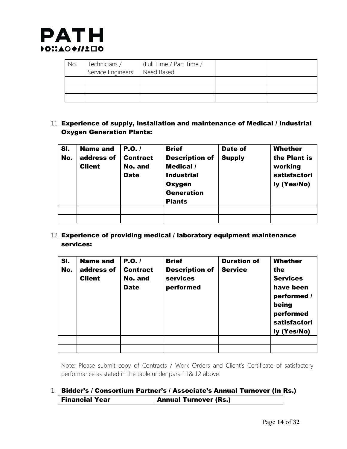

| No. | Technicians /     | (Full Time / Part Time / |  |
|-----|-------------------|--------------------------|--|
|     | Service Engineers | Need Based               |  |
|     |                   |                          |  |
|     |                   |                          |  |
|     |                   |                          |  |

11. Experience of supply, installation and maintenance of Medical / Industrial Oxygen Generation Plants:

| SI.<br>No. | <b>Name and</b><br>address of<br><b>Client</b> | P.O.<br><b>Contract</b><br>No. and<br><b>Date</b> | <b>Brief</b><br><b>Description of</b><br>Medical /<br><b>Industrial</b><br><b>Oxygen</b><br><b>Generation</b><br><b>Plants</b> | Date of<br><b>Supply</b> | Whether<br>the Plant is<br>working<br>satisfactori<br>ly (Yes/No) |
|------------|------------------------------------------------|---------------------------------------------------|--------------------------------------------------------------------------------------------------------------------------------|--------------------------|-------------------------------------------------------------------|
|            |                                                |                                                   |                                                                                                                                |                          |                                                                   |
|            |                                                |                                                   |                                                                                                                                |                          |                                                                   |

12. Experience of providing medical / laboratory equipment maintenance services:

| SI.<br>No. | <b>Name and</b><br>address of<br><b>Client</b> | P.O./<br><b>Contract</b><br>No. and<br><b>Date</b> | <b>Brief</b><br><b>Description of</b><br>services<br>performed | <b>Duration of</b><br><b>Service</b> | <b>Whether</b><br>the<br><b>Services</b><br>have been<br>performed /<br>being<br>performed<br>satisfactori<br>ly (Yes/No) |
|------------|------------------------------------------------|----------------------------------------------------|----------------------------------------------------------------|--------------------------------------|---------------------------------------------------------------------------------------------------------------------------|
|            |                                                |                                                    |                                                                |                                      |                                                                                                                           |
|            |                                                |                                                    |                                                                |                                      |                                                                                                                           |

Note: Please submit copy of Contracts / Work Orders and Client's Certificate of satisfactory performance as stated in the table under para 11& 12 above.

### 1. Bidder's / Consortium Partner's / Associate's Annual Turnover (In Rs.) Financial Year **Annual Turnover (Rs.)**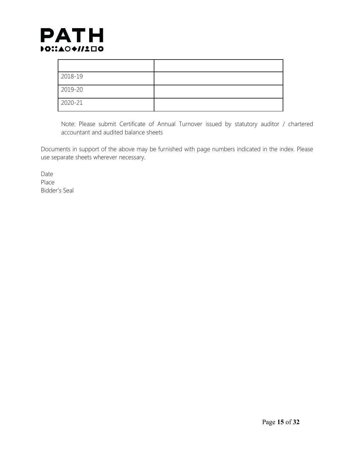

| 2018-19 |  |
|---------|--|
| 2019-20 |  |
| 2020-21 |  |

Note: Please submit Certificate of Annual Turnover issued by statutory auditor / chartered accountant and audited balance sheets

Documents in support of the above may be furnished with page numbers indicated in the index. Please use separate sheets wherever necessary.

Date Place Bidder's Seal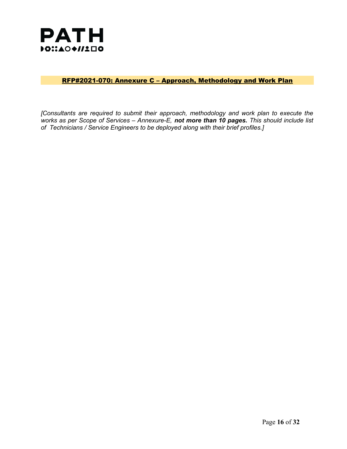

### RFP#2021-070: Annexure C – Approach, Methodology and Work Plan

*[Consultants are required to submit their approach, methodology and work plan to execute the works as per Scope of Services – Annexure-E, not more than 10 pages. This should include list of Technicians / Service Engineers to be deployed along with their brief profiles.]*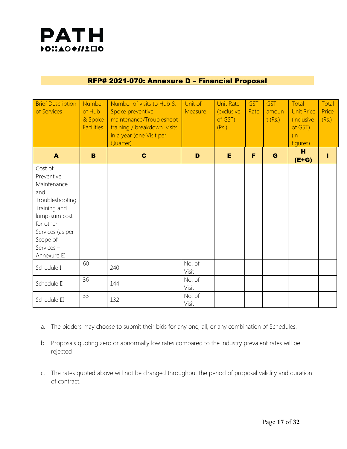

### RFP# 2021-070: Annexure D – Financial Proposal

| <b>Brief Description</b><br>of Services                                                                                                                                  | Number<br>of Hub<br>& Spoke<br><b>Facilities</b> | Number of visits to Hub &<br>Spoke preventive<br>maintenance/Troubleshoot<br>training / breakdown visits<br>in a year (one Visit per<br>Quarter) | Unit of<br>Measure | <b>Unit Rate</b><br>(exclusive<br>of GST)<br>(Rs.) | <b>GST</b><br>Rate | <b>GST</b><br>amoun<br>t(Rs.) | Total<br><b>Unit Price</b><br><i>(inclusive)</i><br>of GST)<br>(in)<br>figures) | Total<br>Price<br>(Rs.) |
|--------------------------------------------------------------------------------------------------------------------------------------------------------------------------|--------------------------------------------------|--------------------------------------------------------------------------------------------------------------------------------------------------|--------------------|----------------------------------------------------|--------------------|-------------------------------|---------------------------------------------------------------------------------|-------------------------|
| $\blacktriangle$                                                                                                                                                         | B                                                | $\mathbf c$                                                                                                                                      | D                  | E                                                  | F                  | G                             | H<br>$(E+G)$                                                                    |                         |
| Cost of<br>Preventive<br>Maintenance<br>and<br>Troubleshooting<br>Training and<br>lump-sum cost<br>for other<br>Services (as per<br>Scope of<br>Services-<br>Annexure E) |                                                  |                                                                                                                                                  |                    |                                                    |                    |                               |                                                                                 |                         |
| Schedule I                                                                                                                                                               | 60                                               | 240                                                                                                                                              | No. of<br>Visit    |                                                    |                    |                               |                                                                                 |                         |
| Schedule II                                                                                                                                                              | 36                                               | 144                                                                                                                                              | No. of<br>Visit    |                                                    |                    |                               |                                                                                 |                         |
| Schedule III                                                                                                                                                             | 33                                               | 132                                                                                                                                              | No. of<br>Visit    |                                                    |                    |                               |                                                                                 |                         |

- a. The bidders may choose to submit their bids for any one, all, or any combination of Schedules.
- b. Proposals quoting zero or abnormally low rates compared to the industry prevalent rates will be rejected
- c. The rates quoted above will not be changed throughout the period of proposal validity and duration of contract.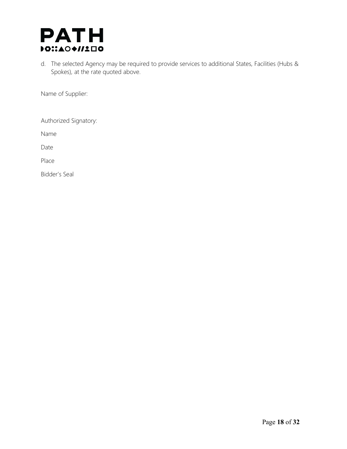

d. The selected Agency may be required to provide services to additional States, Facilities (Hubs & Spokes), at the rate quoted above.

Name of Supplier:

Authorized Signatory:

Name

Date

Place

Bidder's Seal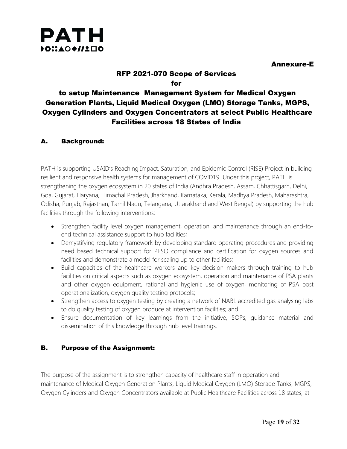

Annexure-E

### RFP 2021-070 Scope of Services for

### to setup Maintenance Management System for Medical Oxygen Generation Plants, Liquid Medical Oxygen (LMO) Storage Tanks, MGPS, Oxygen Cylinders and Oxygen Concentrators at select Public Healthcare Facilities across 18 States of India

### A. Background:

PATH is supporting USAID's Reaching Impact, Saturation, and Epidemic Control (RISE) Project in building resilient and responsive health systems for management of COVID19. Under this project, PATH is strengthening the oxygen ecosystem in 20 states of India (Andhra Pradesh, Assam, Chhattisgarh, Delhi, Goa, Gujarat, Haryana, Himachal Pradesh, Jharkhand, Karnataka, Kerala, Madhya Pradesh, Maharashtra, Odisha, Punjab, Rajasthan, Tamil Nadu, Telangana, Uttarakhand and West Bengal) by supporting the hub facilities through the following interventions:

- Strengthen facility level oxygen management, operation, and maintenance through an end-toend technical assistance support to hub facilities;
- Demystifying regulatory framework by developing standard operating procedures and providing need based technical support for PESO compliance and certification for oxygen sources and facilities and demonstrate a model for scaling up to other facilities;
- Build capacities of the healthcare workers and key decision makers through training to hub facilities on critical aspects such as oxygen ecosystem, operation and maintenance of PSA plants and other oxygen equipment, rational and hygienic use of oxygen, monitoring of PSA post operationalization, oxygen quality testing protocols;
- Strengthen access to oxygen testing by creating a network of NABL accredited gas analysing labs to do quality testing of oxygen produce at intervention facilities; and
- Ensure documentation of key learnings from the initiative, SOPs, guidance material and dissemination of this knowledge through hub level trainings.

### B. Purpose of the Assignment:

The purpose of the assignment is to strengthen capacity of healthcare staff in operation and maintenance of Medical Oxygen Generation Plants, Liquid Medical Oxygen (LMO) Storage Tanks, MGPS, Oxygen Cylinders and Oxygen Concentrators available at Public Healthcare Facilities across 18 states, at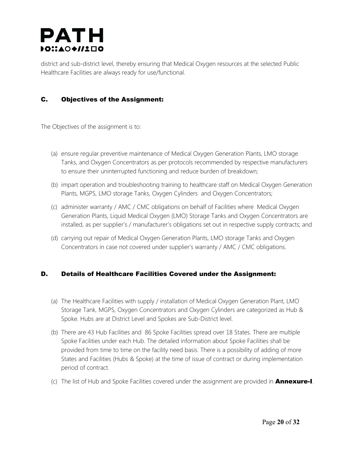### PATH DOI:AO+//1ロ0

district and sub-district level, thereby ensuring that Medical Oxygen resources at the selected Public Healthcare Facilities are always ready for use/functional.

### C. Objectives of the Assignment:

The Objectives of the assignment is to:

- (a) ensure regular preventive maintenance of Medical Oxygen Generation Plants, LMO storage Tanks, and Oxygen Concentrators as per protocols recommended by respective manufacturers to ensure their uninterrupted functioning and reduce burden of breakdown;
- (b) impart operation and troubleshooting training to healthcare staff on Medical Oxygen Generation Plants, MGPS, LMO storage Tanks, Oxygen Cylinders and Oxygen Concentrators;
- (c) administer warranty / AMC / CMC obligations on behalf of Facilities where Medical Oxygen Generation Plants, Liquid Medical Oxygen (LMO) Storage Tanks and Oxygen Concentrators are installed, as per supplier's / manufacturer's obligations set out in respective supply contracts; and
- (d) carrying out repair of Medical Oxygen Generation Plants, LMO storage Tanks and Oxygen Concentrators in case not covered under supplier's warranty / AMC / CMC obligations.

### D. Details of Healthcare Facilities Covered under the Assignment:

- (a) The Healthcare Facilities with supply / installation of Medical Oxygen Generation Plant, LMO Storage Tank, MGPS, Oxygen Concentrators and Oxygen Cylinders are categorized as Hub & Spoke. Hubs are at District Level and Spokes are Sub-District level.
- (b) There are 43 Hub Facilities and 86 Spoke Facilities spread over 18 States. There are multiple Spoke Facilities under each Hub. The detailed information about Spoke Facilities shall be provided from time to time on the facility need basis. There is a possibility of adding of more States and Facilities (Hubs & Spoke) at the time of issue of contract or during implementation period of contract.
- (c) The list of Hub and Spoke Facilities covered under the assignment are provided in **Annexure-I**.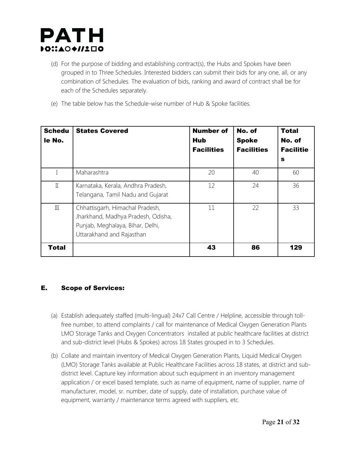

- (d) For the purpose of bidding and establishing contract(s), the Hubs and Spokes have been grouped in to Three Schedules. Interested bidders can submit their bids for any one, all, or any combination of Schedules. The evaluation of bids, ranking and award of contract shall be for each of the Schedules separately.
- (e) The table below has the Schedule-wise number of Hub & Spoke facilities.

| <b>Schedu</b><br>le No. | <b>States Covered</b>                                                                                                                  | <b>Number of</b><br><b>Hub</b><br><b>Facilities</b> | No. of<br><b>Spoke</b><br><b>Facilities</b> | <b>Total</b><br>No. of<br><b>Facilitie</b><br>$\mathbf{s}$ |
|-------------------------|----------------------------------------------------------------------------------------------------------------------------------------|-----------------------------------------------------|---------------------------------------------|------------------------------------------------------------|
|                         | Maharashtra                                                                                                                            | 20                                                  | 40                                          | 60                                                         |
| $\mathbb I$             | Karnataka, Kerala, Andhra Pradesh,<br>Telangana, Tamil Nadu and Gujarat                                                                | 12                                                  | 24                                          | 36                                                         |
| III                     | Chhattisgarh, Himachal Pradesh,<br>Jharkhand, Madhya Pradesh, Odisha,<br>Punjab, Meghalaya, Bihar, Delhi,<br>Uttarakhand and Rajasthan | 11                                                  | 22                                          | 33                                                         |
| <b>Total</b>            |                                                                                                                                        | 43                                                  | 86                                          | 129                                                        |

### E. Scope of Services:

- (a) Establish adequately staffed (multi-lingual) 24x7 Call Centre / Helpline, accessible through tollfree number, to attend complaints / call for maintenance of Medical Oxygen Generation Plants LMO Storage Tanks and Oxygen Concentrators installed at public healthcare facilities at district and sub-district level (Hubs & Spokes) across 18 States grouped in to 3 Schedules.
- (b) Collate and maintain inventory of Medical Oxygen Generation Plants, Liquid Medical Oxygen (LMO) Storage Tanks available at Public Healthcare Facilities across 18 states, at district and subdistrict level. Capture key information about such equipment in an inventory management application / or excel based template, such as name of equipment, name of supplier, name of manufacturer, model, sr. number, date of supply, date of installation, purchase value of equipment, warranty / maintenance terms agreed with suppliers, etc.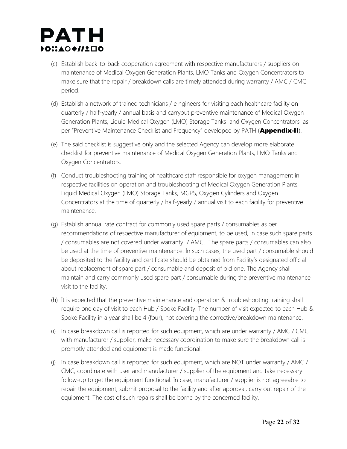

- (c) Establish back-to-back cooperation agreement with respective manufacturers / suppliers on maintenance of Medical Oxygen Generation Plants, LMO Tanks and Oxygen Concentrators to make sure that the repair / breakdown calls are timely attended during warranty / AMC / CMC period.
- (d) Establish a network of trained technicians / e ngineers for visiting each healthcare facility on quarterly / half-yearly / annual basis and carryout preventive maintenance of Medical Oxygen Generation Plants, Liquid Medical Oxygen (LMO) Storage Tanks and Oxygen Concentrators, as per "Preventive Maintenance Checklist and Frequency" developed by PATH (Appendix-II).
- (e) The said checklist is suggestive only and the selected Agency can develop more elaborate checklist for preventive maintenance of Medical Oxygen Generation Plants, LMO Tanks and Oxygen Concentrators.
- (f) Conduct troubleshooting training of healthcare staff responsible for oxygen management in respective facilities on operation and troubleshooting of Medical Oxygen Generation Plants, Liquid Medical Oxygen (LMO) Storage Tanks, MGPS, Oxygen Cylinders and Oxygen Concentrators at the time of quarterly / half-yearly / annual visit to each facility for preventive maintenance.
- (g) Establish annual rate contract for commonly used spare parts / consumables as per recommendations of respective manufacturer of equipment, to be used, in case such spare parts / consumables are not covered under warranty / AMC. The spare parts / consumables can also be used at the time of preventive maintenance. In such cases, the used part / consumable should be deposited to the facility and certificate should be obtained from Facility's designated official about replacement of spare part / consumable and deposit of old one. The Agency shall maintain and carry commonly used spare part / consumable during the preventive maintenance visit to the facility.
- (h) It is expected that the preventive maintenance and operation & troubleshooting training shall require one day of visit to each Hub / Spoke Facility. The number of visit expected to each Hub & Spoke Facility in a year shall be 4 (four), not covering the corrective/breakdown maintenance.
- (i) In case breakdown call is reported for such equipment, which are under warranty / AMC / CMC with manufacturer / supplier, make necessary coordination to make sure the breakdown call is promptly attended and equipment is made functional.
- (j) In case breakdown call is reported for such equipment, which are NOT under warranty / AMC / CMC, coordinate with user and manufacturer / supplier of the equipment and take necessary follow-up to get the equipment functional. In case, manufacturer / supplier is not agreeable to repair the equipment, submit proposal to the facility and after approval, carry out repair of the equipment. The cost of such repairs shall be borne by the concerned facility.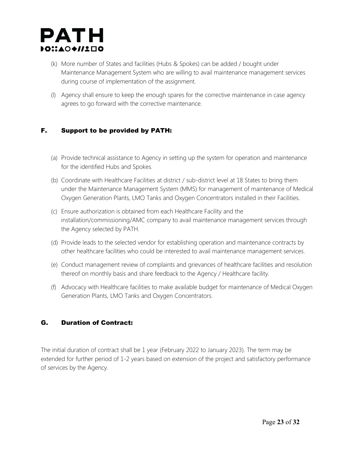

- (k) More number of States and facilities (Hubs & Spokes) can be added / bought under Maintenance Management System who are willing to avail maintenance management services during course of implementation of the assignment.
- (l) Agency shall ensure to keep the enough spares for the corrective maintenance in case agency agrees to go forward with the corrective maintenance.

### F. Support to be provided by PATH:

- (a) Provide technical assistance to Agency in setting up the system for operation and maintenance for the identified Hubs and Spokes.
- (b) Coordinate with Healthcare Facilities at district / sub-district level at 18 States to bring them under the Maintenance Management System (MMS) for management of maintenance of Medical Oxygen Generation Plants, LMO Tanks and Oxygen Concentrators installed in their Facilities.
- (c) Ensure authorization is obtained from each Healthcare Facility and the installation/commissioning/AMC company to avail maintenance management services through the Agency selected by PATH.
- (d) Provide leads to the selected vendor for establishing operation and maintenance contracts by other healthcare facilities who could be interested to avail maintenance management services.
- (e) Conduct management review of complaints and grievances of healthcare facilities and resolution thereof on monthly basis and share feedback to the Agency / Healthcare facility.
- (f) Advocacy with Healthcare facilities to make available budget for maintenance of Medical Oxygen Generation Plants, LMO Tanks and Oxygen Concentrators.

### G. Duration of Contract:

The initial duration of contract shall be 1 year (February 2022 to January 2023). The term may be extended for further period of 1-2 years based on extension of the project and satisfactory performance of services by the Agency.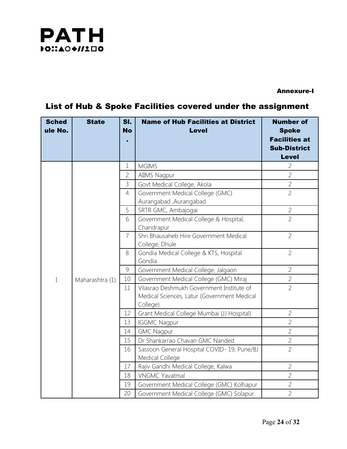

### Annexure-I

### List of Hub & Spoke Facilities covered under the assignment

| <b>Sched</b><br>ule No. | <b>State</b>    | SI.<br><b>No</b> | <b>Name of Hub Facilities at District</b><br><b>Level</b>                                            | <b>Number of</b><br><b>Spoke</b><br><b>Facilities at</b><br><b>Sub-District</b><br><b>Level</b> |
|-------------------------|-----------------|------------------|------------------------------------------------------------------------------------------------------|-------------------------------------------------------------------------------------------------|
|                         |                 | $\mathbf 1$      | <b>MGIMS</b>                                                                                         | $\overline{2}$                                                                                  |
|                         |                 | $\overline{2}$   | <b>AIIMS Nagpur</b>                                                                                  | $\overline{2}$                                                                                  |
|                         |                 | 3                | Govt Medical College, Akola                                                                          | $\overline{2}$                                                                                  |
|                         |                 | 4                | Government Medical College (GMC)<br>Aurangabad , Aurangabad                                          | $\overline{2}$                                                                                  |
|                         |                 | 5                | SRTR GMC, Ambajogai                                                                                  | $\overline{2}$                                                                                  |
|                         |                 | 6                | Government Medical College & Hospital,<br>Chandrapur                                                 | $\overline{2}$                                                                                  |
|                         |                 | $\overline{7}$   | Shri Bhausaheb Hire Government Medical<br>College, Dhule                                             | $\overline{2}$                                                                                  |
|                         |                 | 8                | Gondia Medical College & KTS, Hospital<br>Gondia                                                     | $\overline{2}$                                                                                  |
|                         |                 | 9                | Government Medical College, Jalgaon                                                                  | $\overline{2}$                                                                                  |
| $\mathbf I$             | Maharashtra (1) | 10               | Government Medical College (GMC) Miraj                                                               | $\overline{2}$                                                                                  |
|                         |                 | 11               | Vilasrao Deshmukh Government Institute of<br>Medical Sciences, Latur (Government Medical<br>College) | $\overline{2}$                                                                                  |
|                         |                 | 12               | Grant Medical College Mumbai (JJ Hospital)                                                           | $\overline{2}$                                                                                  |
|                         |                 | 13               | <b>IGGMC Nagpur</b>                                                                                  | $\overline{2}$                                                                                  |
|                         |                 | 14               | <b>GMC Nagpur</b>                                                                                    | $\overline{2}$                                                                                  |
|                         |                 | 15               | Dr Shankarrao Chavan GMC Nanded                                                                      | $\overline{2}$                                                                                  |
|                         |                 | 16               | Sassoon General Hospital COVID-19, Pune/BJ<br>Medical College                                        | $\overline{2}$                                                                                  |
|                         |                 | 17               | Rajiv Gandhi Medical College, Kalwa                                                                  | $\overline{2}$                                                                                  |
|                         |                 | 18               | <b>VNGMC Yavatmal</b>                                                                                | $\overline{2}$                                                                                  |
|                         |                 | 19               | Government Medical College (GMC) Kolhapur                                                            | $\overline{2}$                                                                                  |
|                         |                 | 20               | Government Medical College (GMC) Solapur                                                             | $\overline{2}$                                                                                  |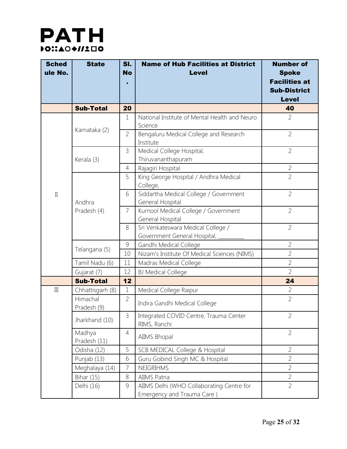

| <b>Sched</b><br>ule No. | <b>State</b>            | SI.<br><b>No</b> | <b>Name of Hub Facilities at District</b><br><b>Level</b>               | <b>Number of</b><br><b>Spoke</b> |
|-------------------------|-------------------------|------------------|-------------------------------------------------------------------------|----------------------------------|
|                         |                         |                  |                                                                         | <b>Facilities at</b>             |
|                         |                         |                  |                                                                         | <b>Sub-District</b>              |
|                         |                         |                  |                                                                         | <b>Level</b>                     |
|                         | <b>Sub-Total</b>        | 20               |                                                                         | 40                               |
|                         | Karnataka (2)           | 1                | National Institute of Mental Health and Neuro<br>Science                | $\overline{2}$                   |
|                         |                         | $\overline{2}$   | Bengaluru Medical College and Research<br>Institute                     | $\overline{2}$                   |
|                         | Kerala (3)              | 3                | Medical College Hospital,<br>Thiruvananthapuram                         | $\overline{2}$                   |
|                         |                         | $\overline{4}$   | Rajagiri Hospital                                                       | $\overline{2}$                   |
|                         |                         | 5                | King George Hospital / Andhra Medical<br>College,                       | $\overline{2}$                   |
| $\rm{II}$               | Andhra                  | 6                | Siddartha Medical College / Government<br>General Hospital              | $\overline{2}$                   |
|                         | Pradesh (4)             | $\overline{7}$   | Kurnool Medical College / Government<br>General Hospital                | $\overline{2}$                   |
|                         |                         | 8                | Sri Venkateswara Medical College /<br>Government General Hospital,      | $\overline{2}$                   |
|                         |                         | $\overline{9}$   | Gandhi Medical College                                                  | $\overline{2}$                   |
|                         | Telangana (5)           | 10               | Nizam's Institute Of Medical Sciences (NIMS)                            | $\overline{2}$                   |
|                         | Tamil Nadu (6)          | 11               | Madras Medical College                                                  | $\overline{2}$                   |
|                         | Gujarat (7)             | 12               | <b>BJ Medical College</b>                                               | $\overline{2}$                   |
|                         | <b>Sub-Total</b>        | 12               |                                                                         | 24                               |
| $\mathop{\rm III}$      | Chhattisgarh (8)        | $\mathbf 1$      | Medical College Raipur                                                  | $\overline{2}$                   |
|                         | Himachal<br>Pradesh (9) | $\overline{2}$   | Indira Gandhi Medical College                                           | $\overline{2}$                   |
|                         | Jharkhand (10)          | 3                | Integrated COVID Centre, Trauma Center<br>RIMS, Ranchi                  | $\overline{2}$                   |
|                         | Madhya<br>Pradesh (11)  | $\overline{4}$   | AIIMS Bhopal                                                            | $\overline{2}$                   |
|                         | Odisha (12)             | 5                | SCB MEDICAL College & Hospital                                          | $\overline{2}$                   |
|                         | Punjab (13)             | 6                | Guru Gobind Singh MC & Hospital                                         | $\overline{2}$                   |
|                         | Meghalaya (14)          | $\overline{7}$   | NEIGRIHMS                                                               | $\overline{2}$                   |
|                         | <b>Bihar (15)</b>       | 8                | AIIMS Patna                                                             | $\overline{2}$                   |
|                         | Delhi (16)              | 9                | AIIMS Delhi (WHO Collaborating Centre for<br>Emergency and Trauma Care) | $\overline{2}$                   |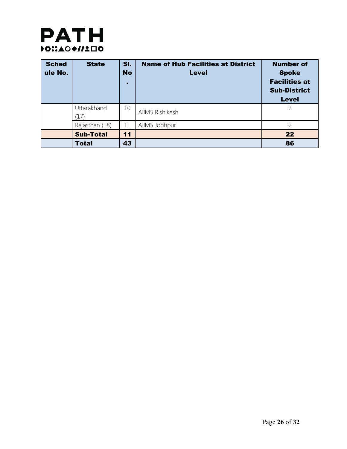

| <b>Sched</b><br>ule No. | <b>State</b>       | SI.<br><b>No</b><br>н | <b>Name of Hub Facilities at District</b><br><b>Level</b> | <b>Number of</b><br><b>Spoke</b><br><b>Facilities at</b><br><b>Sub-District</b><br><b>Level</b> |
|-------------------------|--------------------|-----------------------|-----------------------------------------------------------|-------------------------------------------------------------------------------------------------|
|                         | Uttarakhand<br>(17 | 10                    | AIIMS Rishikesh                                           |                                                                                                 |
|                         | Rajasthan (18)     | 11                    | AIIMS Jodhpur                                             |                                                                                                 |
|                         | <b>Sub-Total</b>   | 11                    |                                                           | 22                                                                                              |
|                         | <b>Total</b>       | 43                    |                                                           | 86                                                                                              |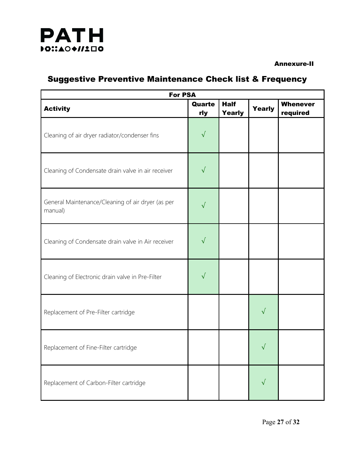

#### Annexure-II

### Suggestive Preventive Maintenance Check list & Frequency

| <b>For PSA</b>                                               |               |                              |               |                             |
|--------------------------------------------------------------|---------------|------------------------------|---------------|-----------------------------|
| <b>Activity</b>                                              | Quarte<br>rly | <b>Half</b><br><b>Yearly</b> | <b>Yearly</b> | <b>Whenever</b><br>required |
| Cleaning of air dryer radiator/condenser fins                | $\sqrt{}$     |                              |               |                             |
| Cleaning of Condensate drain valve in air receiver           | $\sqrt{}$     |                              |               |                             |
| General Maintenance/Cleaning of air dryer (as per<br>manual) | $\sqrt{}$     |                              |               |                             |
| Cleaning of Condensate drain valve in Air receiver           | $\sqrt{}$     |                              |               |                             |
| Cleaning of Electronic drain valve in Pre-Filter             | $\sqrt{}$     |                              |               |                             |
| Replacement of Pre-Filter cartridge                          |               |                              | $\sqrt{}$     |                             |
| Replacement of Fine-Filter cartridge                         |               |                              | √             |                             |
| Replacement of Carbon-Filter cartridge                       |               |                              | √             |                             |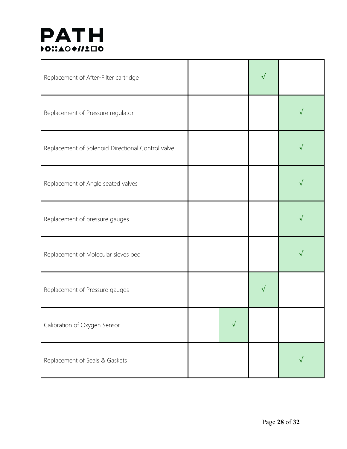| Replacement of After-Filter cartridge             |           | √ |           |
|---------------------------------------------------|-----------|---|-----------|
| Replacement of Pressure regulator                 |           |   | √         |
| Replacement of Solenoid Directional Control valve |           |   | $\sqrt{}$ |
| Replacement of Angle seated valves                |           |   |           |
| Replacement of pressure gauges                    |           |   |           |
| Replacement of Molecular sieves bed               |           |   |           |
| Replacement of Pressure gauges                    |           |   |           |
| Calibration of Oxygen Sensor                      | $\sqrt{}$ |   |           |
| Replacement of Seals & Gaskets                    |           |   |           |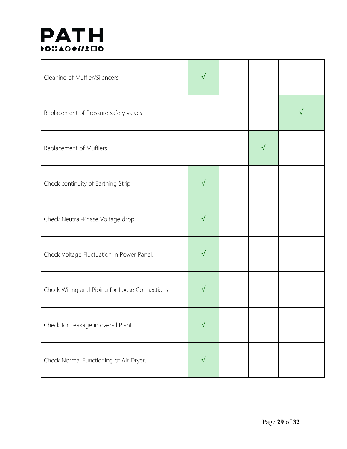| Cleaning of Muffler/Silencers                 | $\sqrt{ }$ |           |   |
|-----------------------------------------------|------------|-----------|---|
| Replacement of Pressure safety valves         |            |           | √ |
| Replacement of Mufflers                       |            | $\sqrt{}$ |   |
| Check continuity of Earthing Strip            | $\sqrt{}$  |           |   |
| Check Neutral-Phase Voltage drop              | $\sqrt{}$  |           |   |
| Check Voltage Fluctuation in Power Panel.     | $\sqrt{}$  |           |   |
| Check Wiring and Piping for Loose Connections | $\sqrt{}$  |           |   |
| Check for Leakage in overall Plant            | $\sqrt{}$  |           |   |
| Check Normal Functioning of Air Dryer.        | $\sqrt{}$  |           |   |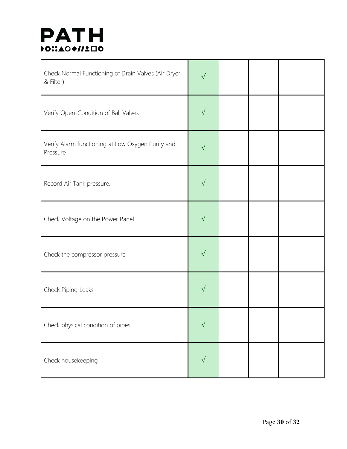| Check Normal Functioning of Drain Valves (Air Dryer<br>& Filter) | $\sqrt{}$ |  |  |
|------------------------------------------------------------------|-----------|--|--|
| Verify Open-Condition of Ball Valves                             | $\sqrt{}$ |  |  |
| Verify Alarm functioning at Low Oxygen Purity and<br>Pressure    | $\sqrt{}$ |  |  |
| Record Air Tank pressure.                                        | $\sqrt{}$ |  |  |
| Check Voltage on the Power Panel                                 | $\sqrt{}$ |  |  |
| Check the compressor pressure                                    | $\sqrt{}$ |  |  |
| Check Piping Leaks                                               | √         |  |  |
| Check physical condition of pipes                                | $\sqrt{}$ |  |  |
| Check housekeeping                                               | $\sqrt{}$ |  |  |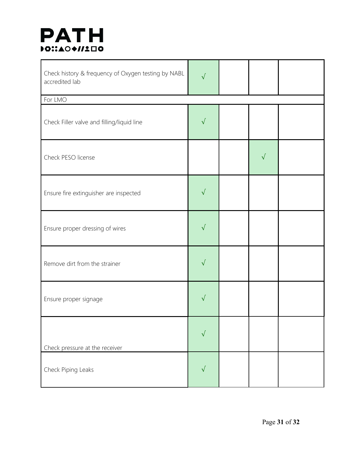| Check history & frequency of Oxygen testing by NABL<br>accredited lab | $\sqrt{}$  |           |  |
|-----------------------------------------------------------------------|------------|-----------|--|
| For LMO                                                               |            |           |  |
| Check Filler valve and filling/liquid line                            | $\sqrt{}$  |           |  |
| Check PESO license                                                    |            | $\sqrt{}$ |  |
| Ensure fire extinguisher are inspected                                | $\sqrt{}$  |           |  |
| Ensure proper dressing of wires                                       | $\sqrt{}$  |           |  |
| Remove dirt from the strainer                                         | $\sqrt{}$  |           |  |
| Ensure proper signage                                                 | $\sqrt{ }$ |           |  |
| Check pressure at the receiver                                        | $\sqrt{}$  |           |  |
| Check Piping Leaks                                                    | $\sqrt{ }$ |           |  |